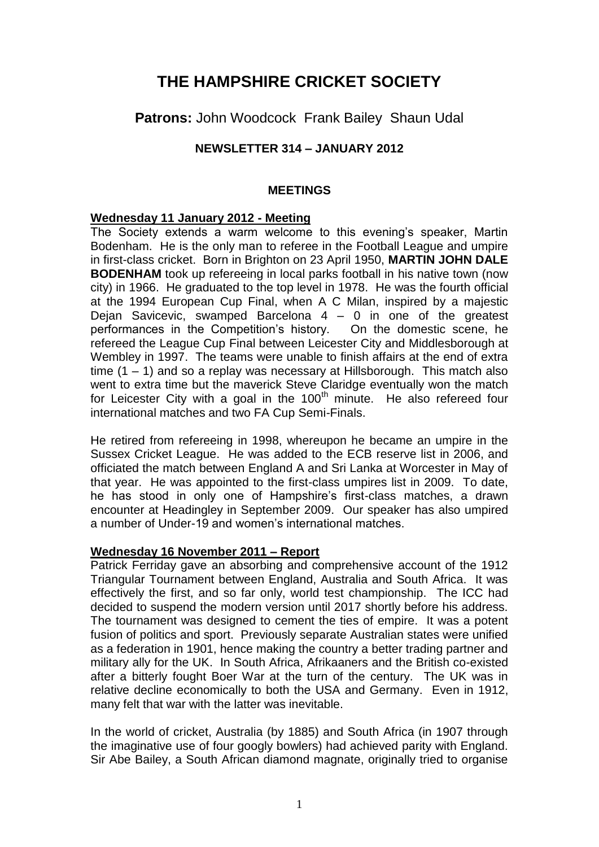# **THE HAMPSHIRE CRICKET SOCIETY**

**Patrons:** John Woodcock Frank Bailey Shaun Udal

# **NEWSLETTER 314 – JANUARY 2012**

## **MEETINGS**

## **Wednesday 11 January 2012 - Meeting**

The Society extends a warm welcome to this evening's speaker, Martin Bodenham. He is the only man to referee in the Football League and umpire in first-class cricket. Born in Brighton on 23 April 1950, **MARTIN JOHN DALE BODENHAM** took up refereeing in local parks football in his native town (now city) in 1966. He graduated to the top level in 1978. He was the fourth official at the 1994 European Cup Final, when A C Milan, inspired by a majestic Dejan Savicevic, swamped Barcelona 4 – 0 in one of the greatest performances in the Competition's history. On the domestic scene, he refereed the League Cup Final between Leicester City and Middlesborough at Wembley in 1997. The teams were unable to finish affairs at the end of extra time  $(1 - 1)$  and so a replay was necessary at Hillsborough. This match also went to extra time but the maverick Steve Claridge eventually won the match for Leicester City with a goal in the 100<sup>th</sup> minute. He also refereed four international matches and two FA Cup Semi-Finals.

He retired from refereeing in 1998, whereupon he became an umpire in the Sussex Cricket League. He was added to the ECB reserve list in 2006, and officiated the match between England A and Sri Lanka at Worcester in May of that year. He was appointed to the first-class umpires list in 2009. To date, he has stood in only one of Hampshire's first-class matches, a drawn encounter at Headingley in September 2009. Our speaker has also umpired a number of Under-19 and women's international matches.

## **Wednesday 16 November 2011 – Report**

Patrick Ferriday gave an absorbing and comprehensive account of the 1912 Triangular Tournament between England, Australia and South Africa. It was effectively the first, and so far only, world test championship. The ICC had decided to suspend the modern version until 2017 shortly before his address. The tournament was designed to cement the ties of empire. It was a potent fusion of politics and sport. Previously separate Australian states were unified as a federation in 1901, hence making the country a better trading partner and military ally for the UK. In South Africa, Afrikaaners and the British co-existed after a bitterly fought Boer War at the turn of the century. The UK was in relative decline economically to both the USA and Germany. Even in 1912, many felt that war with the latter was inevitable.

In the world of cricket, Australia (by 1885) and South Africa (in 1907 through the imaginative use of four googly bowlers) had achieved parity with England. Sir Abe Bailey, a South African diamond magnate, originally tried to organise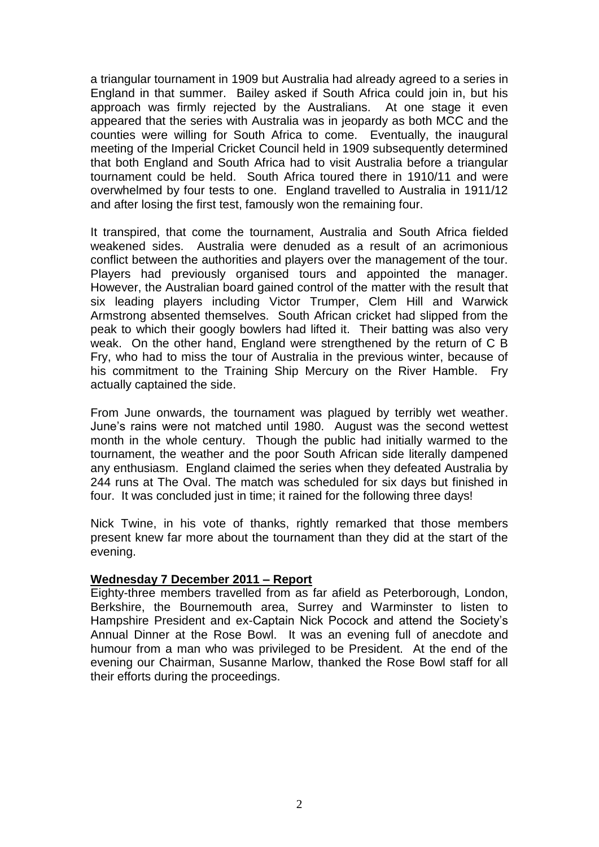a triangular tournament in 1909 but Australia had already agreed to a series in England in that summer. Bailey asked if South Africa could join in, but his approach was firmly rejected by the Australians. At one stage it even appeared that the series with Australia was in jeopardy as both MCC and the counties were willing for South Africa to come. Eventually, the inaugural meeting of the Imperial Cricket Council held in 1909 subsequently determined that both England and South Africa had to visit Australia before a triangular tournament could be held. South Africa toured there in 1910/11 and were overwhelmed by four tests to one. England travelled to Australia in 1911/12 and after losing the first test, famously won the remaining four.

It transpired, that come the tournament, Australia and South Africa fielded weakened sides. Australia were denuded as a result of an acrimonious conflict between the authorities and players over the management of the tour. Players had previously organised tours and appointed the manager. However, the Australian board gained control of the matter with the result that six leading players including Victor Trumper, Clem Hill and Warwick Armstrong absented themselves. South African cricket had slipped from the peak to which their googly bowlers had lifted it. Their batting was also very weak. On the other hand, England were strengthened by the return of C B Fry, who had to miss the tour of Australia in the previous winter, because of his commitment to the Training Ship Mercury on the River Hamble. Fry actually captained the side.

From June onwards, the tournament was plagued by terribly wet weather. June's rains were not matched until 1980. August was the second wettest month in the whole century. Though the public had initially warmed to the tournament, the weather and the poor South African side literally dampened any enthusiasm. England claimed the series when they defeated Australia by 244 runs at The Oval. The match was scheduled for six days but finished in four. It was concluded just in time; it rained for the following three days!

Nick Twine, in his vote of thanks, rightly remarked that those members present knew far more about the tournament than they did at the start of the evening.

#### **Wednesday 7 December 2011 – Report**

Eighty-three members travelled from as far afield as Peterborough, London, Berkshire, the Bournemouth area, Surrey and Warminster to listen to Hampshire President and ex-Captain Nick Pocock and attend the Society's Annual Dinner at the Rose Bowl. It was an evening full of anecdote and humour from a man who was privileged to be President. At the end of the evening our Chairman, Susanne Marlow, thanked the Rose Bowl staff for all their efforts during the proceedings.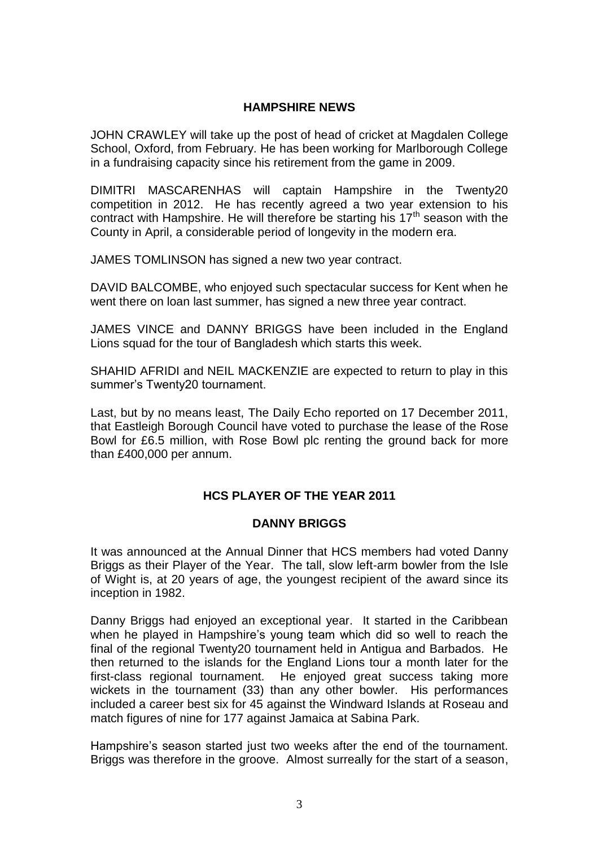## **HAMPSHIRE NEWS**

JOHN CRAWLEY will take up the post of head of cricket at Magdalen College School, Oxford, from February. He has been working for Marlborough College in a fundraising capacity since his retirement from the game in 2009.

DIMITRI MASCARENHAS will captain Hampshire in the Twenty20 competition in 2012. He has recently agreed a two year extension to his contract with Hampshire. He will therefore be starting his  $17<sup>th</sup>$  season with the County in April, a considerable period of longevity in the modern era.

JAMES TOMLINSON has signed a new two year contract.

DAVID BALCOMBE, who enjoyed such spectacular success for Kent when he went there on loan last summer, has signed a new three year contract.

JAMES VINCE and DANNY BRIGGS have been included in the England Lions squad for the tour of Bangladesh which starts this week.

SHAHID AFRIDI and NEIL MACKENZIE are expected to return to play in this summer's Twenty20 tournament.

Last, but by no means least, The Daily Echo reported on 17 December 2011, that Eastleigh Borough Council have voted to purchase the lease of the Rose Bowl for £6.5 million, with Rose Bowl plc renting the ground back for more than £400,000 per annum.

## **HCS PLAYER OF THE YEAR 2011**

## **DANNY BRIGGS**

It was announced at the Annual Dinner that HCS members had voted Danny Briggs as their Player of the Year. The tall, slow left-arm bowler from the Isle of Wight is, at 20 years of age, the youngest recipient of the award since its inception in 1982.

Danny Briggs had enjoyed an exceptional year. It started in the Caribbean when he played in Hampshire's young team which did so well to reach the final of the regional Twenty20 tournament held in Antigua and Barbados. He then returned to the islands for the England Lions tour a month later for the first-class regional tournament. He enjoyed great success taking more wickets in the tournament (33) than any other bowler. His performances included a career best six for 45 against the Windward Islands at Roseau and match figures of nine for 177 against Jamaica at Sabina Park.

Hampshire's season started just two weeks after the end of the tournament. Briggs was therefore in the groove. Almost surreally for the start of a season,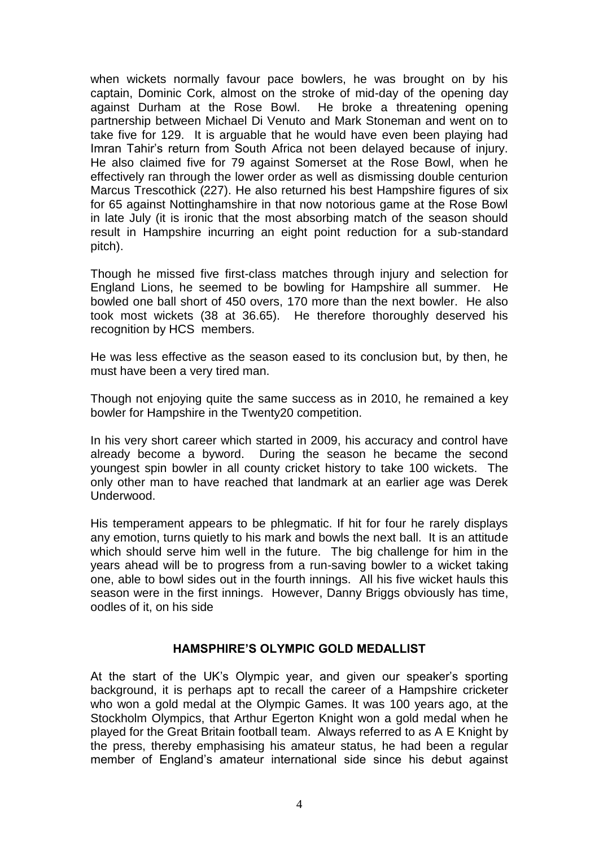when wickets normally favour pace bowlers, he was brought on by his captain, Dominic Cork, almost on the stroke of mid-day of the opening day against Durham at the Rose Bowl. He broke a threatening opening partnership between Michael Di Venuto and Mark Stoneman and went on to take five for 129. It is arguable that he would have even been playing had Imran Tahir's return from South Africa not been delayed because of injury. He also claimed five for 79 against Somerset at the Rose Bowl, when he effectively ran through the lower order as well as dismissing double centurion Marcus Trescothick (227). He also returned his best Hampshire figures of six for 65 against Nottinghamshire in that now notorious game at the Rose Bowl in late July (it is ironic that the most absorbing match of the season should result in Hampshire incurring an eight point reduction for a sub-standard pitch).

Though he missed five first-class matches through injury and selection for England Lions, he seemed to be bowling for Hampshire all summer. He bowled one ball short of 450 overs, 170 more than the next bowler. He also took most wickets (38 at 36.65). He therefore thoroughly deserved his recognition by HCS members.

He was less effective as the season eased to its conclusion but, by then, he must have been a very tired man.

Though not enjoying quite the same success as in 2010, he remained a key bowler for Hampshire in the Twenty20 competition.

In his very short career which started in 2009, his accuracy and control have already become a byword. During the season he became the second youngest spin bowler in all county cricket history to take 100 wickets. The only other man to have reached that landmark at an earlier age was Derek Underwood.

His temperament appears to be phlegmatic. If hit for four he rarely displays any emotion, turns quietly to his mark and bowls the next ball. It is an attitude which should serve him well in the future. The big challenge for him in the years ahead will be to progress from a run-saving bowler to a wicket taking one, able to bowl sides out in the fourth innings. All his five wicket hauls this season were in the first innings. However, Danny Briggs obviously has time, oodles of it, on his side

#### **HAMSPHIRE'S OLYMPIC GOLD MEDALLIST**

At the start of the UK's Olympic year, and given our speaker's sporting background, it is perhaps apt to recall the career of a Hampshire cricketer who won a gold medal at the Olympic Games. It was 100 years ago, at the Stockholm Olympics, that Arthur Egerton Knight won a gold medal when he played for the Great Britain football team. Always referred to as A E Knight by the press, thereby emphasising his amateur status, he had been a regular member of England's amateur international side since his debut against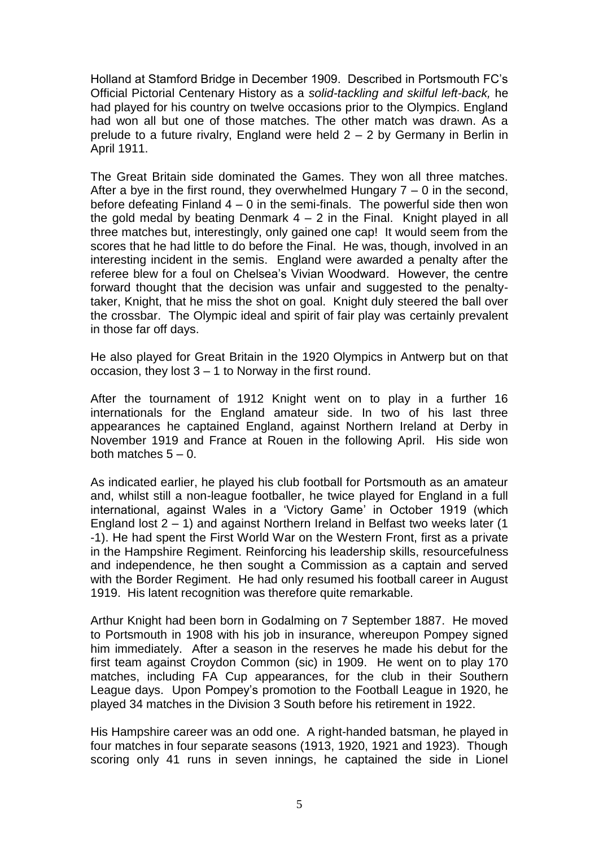Holland at Stamford Bridge in December 1909. Described in Portsmouth FC's Official Pictorial Centenary History as a *solid-tackling and skilful left-back,* he had played for his country on twelve occasions prior to the Olympics. England had won all but one of those matches. The other match was drawn. As a prelude to a future rivalry, England were held 2 – 2 by Germany in Berlin in April 1911.

The Great Britain side dominated the Games. They won all three matches. After a bye in the first round, they overwhelmed Hungary  $7 - 0$  in the second, before defeating Finland  $4 - 0$  in the semi-finals. The powerful side then won the gold medal by beating Denmark  $4 - 2$  in the Final. Knight played in all three matches but, interestingly, only gained one cap! It would seem from the scores that he had little to do before the Final. He was, though, involved in an interesting incident in the semis. England were awarded a penalty after the referee blew for a foul on Chelsea's Vivian Woodward. However, the centre forward thought that the decision was unfair and suggested to the penaltytaker, Knight, that he miss the shot on goal. Knight duly steered the ball over the crossbar. The Olympic ideal and spirit of fair play was certainly prevalent in those far off days.

He also played for Great Britain in the 1920 Olympics in Antwerp but on that occasion, they lost 3 – 1 to Norway in the first round.

After the tournament of 1912 Knight went on to play in a further 16 internationals for the England amateur side. In two of his last three appearances he captained England, against Northern Ireland at Derby in November 1919 and France at Rouen in the following April. His side won both matches  $5 - 0$ .

As indicated earlier, he played his club football for Portsmouth as an amateur and, whilst still a non-league footballer, he twice played for England in a full international, against Wales in a 'Victory Game' in October 1919 (which England lost  $2 - 1$ ) and against Northern Ireland in Belfast two weeks later (1) -1). He had spent the First World War on the Western Front, first as a private in the Hampshire Regiment. Reinforcing his leadership skills, resourcefulness and independence, he then sought a Commission as a captain and served with the Border Regiment. He had only resumed his football career in August 1919. His latent recognition was therefore quite remarkable.

Arthur Knight had been born in Godalming on 7 September 1887. He moved to Portsmouth in 1908 with his job in insurance, whereupon Pompey signed him immediately. After a season in the reserves he made his debut for the first team against Croydon Common (sic) in 1909. He went on to play 170 matches, including FA Cup appearances, for the club in their Southern League days. Upon Pompey's promotion to the Football League in 1920, he played 34 matches in the Division 3 South before his retirement in 1922.

His Hampshire career was an odd one. A right-handed batsman, he played in four matches in four separate seasons (1913, 1920, 1921 and 1923). Though scoring only 41 runs in seven innings, he captained the side in Lionel